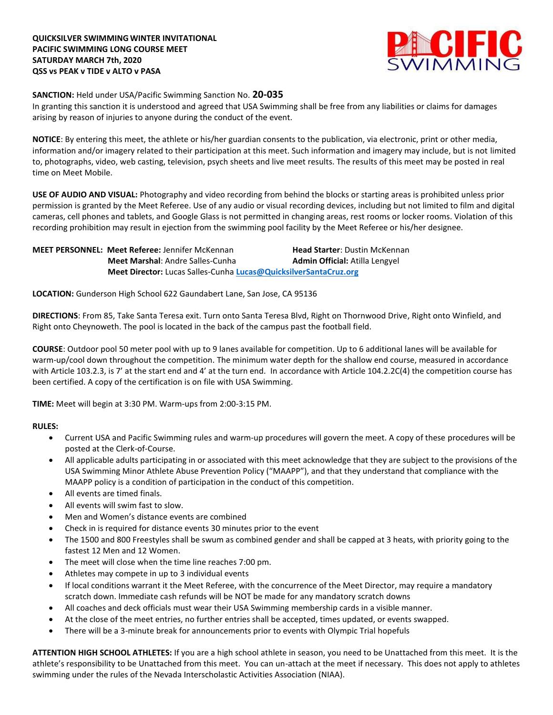

## **SANCTION:** Held under USA/Pacific Swimming Sanction No. **20-035**

In granting this sanction it is understood and agreed that USA Swimming shall be free from any liabilities or claims for damages arising by reason of injuries to anyone during the conduct of the event.

**NOTICE**: By entering this meet, the athlete or his/her guardian consents to the publication, via electronic, print or other media, information and/or imagery related to their participation at this meet. Such information and imagery may include, but is not limited to, photographs, video, web casting, television, psych sheets and live meet results. The results of this meet may be posted in real time on Meet Mobile.

**USE OF AUDIO AND VISUAL:** Photography and video recording from behind the blocks or starting areas is prohibited unless prior permission is granted by the Meet Referee. Use of any audio or visual recording devices, including but not limited to film and digital cameras, cell phones and tablets, and Google Glass is not permitted in changing areas, rest rooms or locker rooms. Violation of this recording prohibition may result in ejection from the swimming pool facility by the Meet Referee or his/her designee.

**MEET PERSONNEL: Meet Referee: Jennifer McKennan <b>Head Starter**: Dustin McKennan **Meet Marshal:** Andre Salles-Cunha **Admin Official:** Atilla Lengyel  **Meet Director:** Lucas Salles-Cunha **[Lucas@QuicksilverSantaCruz.org](mailto:Lucas@QuicksilverSantaCruz.org)**

**LOCATION:** Gunderson High School 622 Gaundabert Lane, San Jose, CA 95136

**DIRECTIONS**: From 85, Take Santa Teresa exit. Turn onto Santa Teresa Blvd, Right on Thornwood Drive, Right onto Winfield, and Right onto Cheynoweth. The pool is located in the back of the campus past the football field.

**COURSE**: Outdoor pool 50 meter pool with up to 9 lanes available for competition. Up to 6 additional lanes will be available for warm-up/cool down throughout the competition. The minimum water depth for the shallow end course, measured in accordance with Article 103.2.3, is 7' at the start end and 4' at the turn end. In accordance with Article 104.2.2C(4) the competition course has been certified. A copy of the certification is on file with USA Swimming.

**TIME:** Meet will begin at 3:30 PM. Warm-ups from 2:00-3:15 PM.

## **RULES:**

- Current USA and Pacific Swimming rules and warm-up procedures will govern the meet. A copy of these procedures will be posted at the Clerk-of-Course.
- All applicable adults participating in or associated with this meet acknowledge that they are subject to the provisions of the USA Swimming Minor Athlete Abuse Prevention Policy ("MAAPP"), and that they understand that compliance with the MAAPP policy is a condition of participation in the conduct of this competition.
- All events are timed finals.
- All events will swim fast to slow.
- Men and Women's distance events are combined
- Check in is required for distance events 30 minutes prior to the event
- The 1500 and 800 Freestyles shall be swum as combined gender and shall be capped at 3 heats, with priority going to the fastest 12 Men and 12 Women.
- The meet will close when the time line reaches 7:00 pm.
- Athletes may compete in up to 3 individual events
- If local conditions warrant it the Meet Referee, with the concurrence of the Meet Director, may require a mandatory scratch down. Immediate cash refunds will be NOT be made for any mandatory scratch downs
- All coaches and deck officials must wear their USA Swimming membership cards in a visible manner.
- At the close of the meet entries, no further entries shall be accepted, times updated, or events swapped.
- There will be a 3-minute break for announcements prior to events with Olympic Trial hopefuls

**ATTENTION HIGH SCHOOL ATHLETES:** If you are a high school athlete in season, you need to be Unattached from this meet. It is the athlete's responsibility to be Unattached from this meet. You can un-attach at the meet if necessary. This does not apply to athletes swimming under the rules of the Nevada Interscholastic Activities Association (NIAA).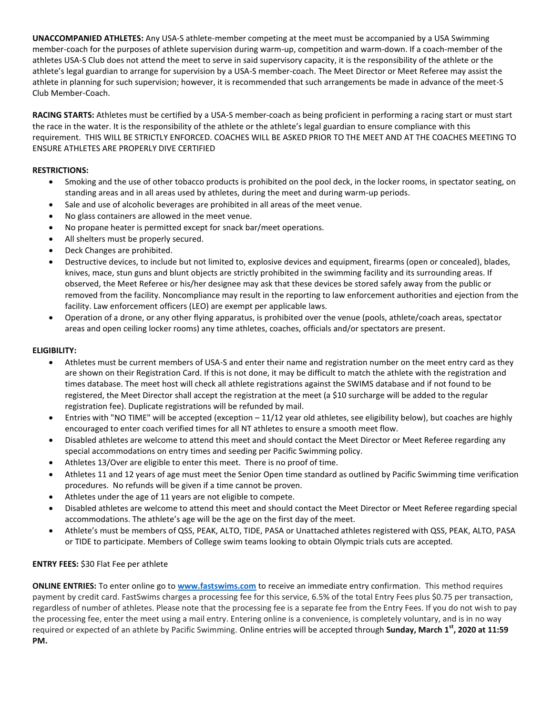**UNACCOMPANIED ATHLETES:** Any USA-S athlete-member competing at the meet must be accompanied by a USA Swimming member-coach for the purposes of athlete supervision during warm-up, competition and warm-down. If a coach-member of the athletes USA-S Club does not attend the meet to serve in said supervisory capacity, it is the responsibility of the athlete or the athlete's legal guardian to arrange for supervision by a USA-S member-coach. The Meet Director or Meet Referee may assist the athlete in planning for such supervision; however, it is recommended that such arrangements be made in advance of the meet-S Club Member-Coach.

**RACING STARTS:** Athletes must be certified by a USA-S member-coach as being proficient in performing a racing start or must start the race in the water. It is the responsibility of the athlete or the athlete's legal guardian to ensure compliance with this requirement. THIS WILL BE STRICTLY ENFORCED. COACHES WILL BE ASKED PRIOR TO THE MEET AND AT THE COACHES MEETING TO ENSURE ATHLETES ARE PROPERLY DIVE CERTIFIED

# **RESTRICTIONS:**

- Smoking and the use of other tobacco products is prohibited on the pool deck, in the locker rooms, in spectator seating, on standing areas and in all areas used by athletes, during the meet and during warm-up periods.
- Sale and use of alcoholic beverages are prohibited in all areas of the meet venue.
- No glass containers are allowed in the meet venue.
- No propane heater is permitted except for snack bar/meet operations.
- All shelters must be properly secured.
- Deck Changes are prohibited.
- Destructive devices, to include but not limited to, explosive devices and equipment, firearms (open or concealed), blades, knives, mace, stun guns and blunt objects are strictly prohibited in the swimming facility and its surrounding areas. If observed, the Meet Referee or his/her designee may ask that these devices be stored safely away from the public or removed from the facility. Noncompliance may result in the reporting to law enforcement authorities and ejection from the facility. Law enforcement officers (LEO) are exempt per applicable laws.
- Operation of a drone, or any other flying apparatus, is prohibited over the venue (pools, athlete/coach areas, spectator areas and open ceiling locker rooms) any time athletes, coaches, officials and/or spectators are present.

## **ELIGIBILITY:**

- Athletes must be current members of USA-S and enter their name and registration number on the meet entry card as they are shown on their Registration Card. If this is not done, it may be difficult to match the athlete with the registration and times database. The meet host will check all athlete registrations against the SWIMS database and if not found to be registered, the Meet Director shall accept the registration at the meet (a \$10 surcharge will be added to the regular registration fee). Duplicate registrations will be refunded by mail.
- Entries with "NO TIME" will be accepted (exception 11/12 year old athletes, see eligibility below), but coaches are highly encouraged to enter coach verified times for all NT athletes to ensure a smooth meet flow.
- Disabled athletes are welcome to attend this meet and should contact the Meet Director or Meet Referee regarding any special accommodations on entry times and seeding per Pacific Swimming policy.
- Athletes 13/Over are eligible to enter this meet. There is no proof of time.
- Athletes 11 and 12 years of age must meet the Senior Open time standard as outlined by Pacific Swimming time verification procedures. No refunds will be given if a time cannot be proven.
- Athletes under the age of 11 years are not eligible to compete.
- Disabled athletes are welcome to attend this meet and should contact the Meet Director or Meet Referee regarding special accommodations. The athlete's age will be the age on the first day of the meet.
- Athlete's must be members of QSS, PEAK, ALTO, TIDE, PASA or Unattached athletes registered with QSS, PEAK, ALTO, PASA or TIDE to participate. Members of College swim teams looking to obtain Olympic trials cuts are accepted.

## **ENTRY FEES:** \$30 Flat Fee per athlete

**ONLINE ENTRIES:** To enter online go to **[www.fastswims.com](http://www.fastswims.com/)** to receive an immediate entry confirmation. This method requires payment by credit card. FastSwims charges a processing fee for this service, 6.5% of the total Entry Fees plus \$0.75 per transaction, regardless of number of athletes. Please note that the processing fee is a separate fee from the Entry Fees. If you do not wish to pay the processing fee, enter the meet using a mail entry. Entering online is a convenience, is completely voluntary, and is in no way required or expected of an athlete by Pacific Swimming. Online entries will be accepted through **Sunday, March 1st, 2020 at 11:59 PM.**